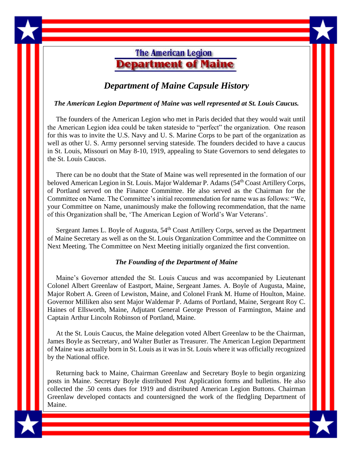

*Department of Maine Capsule History*

## *The American Legion Department of Maine was well represented at St. Louis Caucus.*

 The founders of the American Legion who met in Paris decided that they would wait until the American Legion idea could be taken stateside to "perfect" the organization. One reason for this was to invite the U.S. Navy and U. S. Marine Corps to be part of the organization as well as other U. S. Army personnel serving stateside. The founders decided to have a caucus in St. Louis, Missouri on May 8-10, 1919, appealing to State Governors to send delegates to the St. Louis Caucus.

 There can be no doubt that the State of Maine was well represented in the formation of our beloved American Legion in St. Louis. Major Waldemar P. Adams (54<sup>th</sup> Coast Artillery Corps, of Portland served on the Finance Committee. He also served as the Chairman for the Committee on Name. The Committee's initial recommendation for name was as follows: "We, your Committee on Name, unanimously make the following recommendation, that the name of this Organization shall be, 'The American Legion of World's War Veterans'.

Sergeant James L. Boyle of Augusta, 54<sup>th</sup> Coast Artillery Corps, served as the Department of Maine Secretary as well as on the St. Louis Organization Committee and the Committee on Next Meeting. The Committee on Next Meeting initially organized the first convention.

## *The Founding of the Department of Maine*

 Maine's Governor attended the St. Louis Caucus and was accompanied by Lieutenant Colonel Albert Greenlaw of Eastport, Maine, Sergeant James. A. Boyle of Augusta, Maine, Major Robert A. Green of Lewiston, Maine, and Colonel Frank M. Hume of Houlton, Maine. Governor Milliken also sent Major Waldemar P. Adams of Portland, Maine, Sergeant Roy C. Haines of Ellsworth, Maine, Adjutant General George Presson of Farmington, Maine and Captain Arthur Lincoln Robinson of Portland, Maine.

 At the St. Louis Caucus, the Maine delegation voted Albert Greenlaw to be the Chairman, James Boyle as Secretary, and Walter Butler as Treasurer. The American Legion Department of Maine was actually born in St. Louis as it was in St. Louis where it was officially recognized by the National office.

 Returning back to Maine, Chairman Greenlaw and Secretary Boyle to begin organizing posts in Maine. Secretary Boyle distributed Post Application forms and bulletins. He also collected the .50 cents dues for 1919 and distributed American Legion Buttons. Chairman Greenlaw developed contacts and countersigned the work of the fledgling Department of Maine.